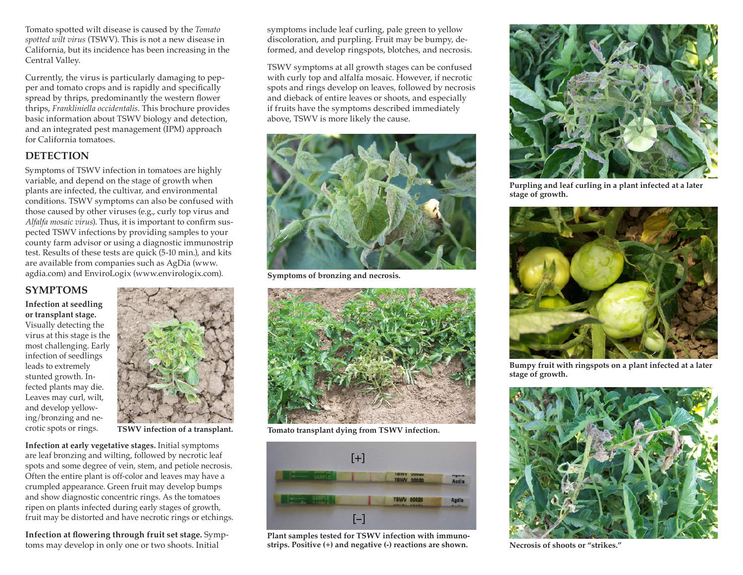Tomato spotted wilt disease is caused by the *Tomato spotted wilt virus* (TSWV). This is not a new disease in California, but its incidence has been increasing in the Central Valley.

Currently, the virus is particularly damaging to pepper and tomato crops and is rapidly and specifically spread by thrips, predominantly the western flower thrips, *Frankliniella occidentalis*. This brochure provides basic information about TSWV biology and detection, and an integrated pest management (IPM) approach for California tomatoes.

## **DETECTION**

Symptoms of TSWV infection in tomatoes are highly variable, and depend on the stage of growth when plants are infected, the cultivar, and environmental conditions. TSWV symptoms can also be confused with those caused by other viruses (e.g., curly top virus and *Alfalfa mosaic virus*). Thus, it is important to confirm suspected TSWV infections by providing samples to your county farm advisor or using a diagnostic immunostrip test. Results of these tests are quick (5-10 min.), and kits are available from companies such as AgDia (www. agdia.com) and EnviroLogix (www.envirologix.com).

## **SYMPTOMS**

**Infection at seedling or transplant stage.** Visually detecting the virus at this stage is the most challenging. Early infection of seedlings leads to extremely stunted growth. Infected plants may die. Leaves may curl, wilt, and develop yellowing/bronzing and necrotic spots or rings.



**TSWV infection of a transplant.**

**Infection at early vegetative stages.** Initial symptoms are leaf bronzing and wilting, followed by necrotic leaf spots and some degree of vein, stem, and petiole necrosis. Often the entire plant is off-color and leaves may have a crumpled appearance. Green fruit may develop bumps and show diagnostic concentric rings. As the tomatoes ripen on plants infected during early stages of growth, fruit may be distorted and have necrotic rings or etchings.

**Infection at flowering through fruit set stage.** Symptoms may develop in only one or two shoots. Initial

symptoms include leaf curling, pale green to yellow discoloration, and purpling. Fruit may be bumpy, deformed, and develop ringspots, blotches, and necrosis.

TSWV symptoms at all growth stages can be confused with curly top and alfalfa mosaic. However, if necrotic spots and rings develop on leaves, followed by necrosis and dieback of entire leaves or shoots, and especially if fruits have the symptoms described immediately above, TSWV is more likely the cause.



**Symptoms of bronzing and necrosis.**



**Tomato transplant dying from TSWV infection.**



**Plant samples tested for TSWV infection with immunostrips. Positive (+) and negative (-) reactions are shown.**



**Purpling and leaf curling in a plant infected at a later stage of growth.** 



**Bumpy fruit with ringspots on a plant infected at a later stage of growth.**



**Necrosis of shoots or "strikes."**